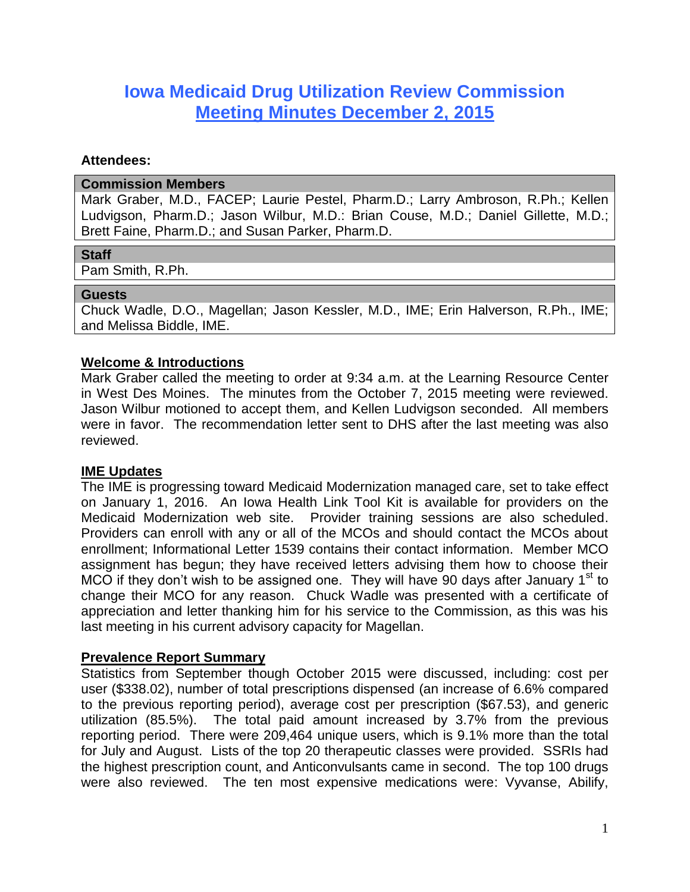# **Iowa Medicaid Drug Utilization Review Commission Meeting Minutes December 2, 2015**

### **Attendees:**

### **Commission Members**

Mark Graber, M.D., FACEP; Laurie Pestel, Pharm.D.; Larry Ambroson, R.Ph.; Kellen Ludvigson, Pharm.D.; Jason Wilbur, M.D.: Brian Couse, M.D.; Daniel Gillette, M.D.; Brett Faine, Pharm.D.; and Susan Parker, Pharm.D.

### **Staff**

Pam Smith, R.Ph.

### **Guests**

Chuck Wadle, D.O., Magellan; Jason Kessler, M.D., IME; Erin Halverson, R.Ph., IME; and Melissa Biddle, IME.

### **Welcome & Introductions**

Mark Graber called the meeting to order at 9:34 a.m. at the Learning Resource Center in West Des Moines. The minutes from the October 7, 2015 meeting were reviewed. Jason Wilbur motioned to accept them, and Kellen Ludvigson seconded. All members were in favor. The recommendation letter sent to DHS after the last meeting was also reviewed.

### **IME Updates**

The IME is progressing toward Medicaid Modernization managed care, set to take effect on January 1, 2016. An Iowa Health Link Tool Kit is available for providers on the Medicaid Modernization web site. Provider training sessions are also scheduled. Providers can enroll with any or all of the MCOs and should contact the MCOs about enrollment; Informational Letter 1539 contains their contact information. Member MCO assignment has begun; they have received letters advising them how to choose their MCO if they don't wish to be assigned one. They will have 90 days after January  $1<sup>st</sup>$  to change their MCO for any reason. Chuck Wadle was presented with a certificate of appreciation and letter thanking him for his service to the Commission, as this was his last meeting in his current advisory capacity for Magellan.

### **Prevalence Report Summary**

Statistics from September though October 2015 were discussed, including: cost per user (\$338.02), number of total prescriptions dispensed (an increase of 6.6% compared to the previous reporting period), average cost per prescription (\$67.53), and generic utilization (85.5%). The total paid amount increased by 3.7% from the previous reporting period. There were 209,464 unique users, which is 9.1% more than the total for July and August. Lists of the top 20 therapeutic classes were provided. SSRIs had the highest prescription count, and Anticonvulsants came in second. The top 100 drugs were also reviewed. The ten most expensive medications were: Vyvanse, Abilify,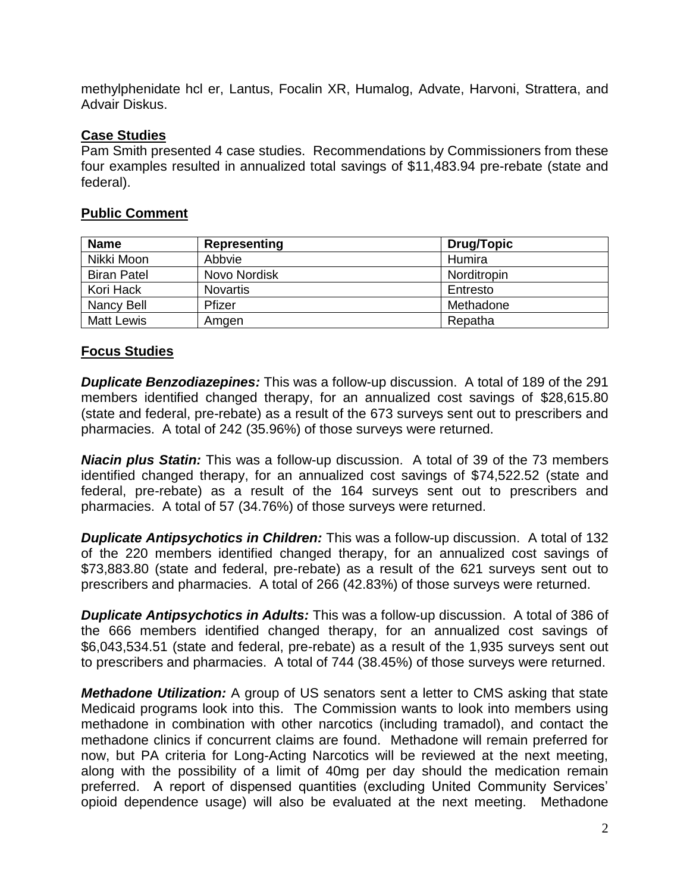methylphenidate hcl er, Lantus, Focalin XR, Humalog, Advate, Harvoni, Strattera, and Advair Diskus.

# **Case Studies**

Pam Smith presented 4 case studies. Recommendations by Commissioners from these four examples resulted in annualized total savings of \$11,483.94 pre-rebate (state and federal).

# **Public Comment**

| <b>Name</b>        | Representing    | <b>Drug/Topic</b> |
|--------------------|-----------------|-------------------|
| Nikki Moon         | Abbvie          | Humira            |
| <b>Biran Patel</b> | Novo Nordisk    | Norditropin       |
| Kori Hack          | <b>Novartis</b> | Entresto          |
| Nancy Bell         | Pfizer          | Methadone         |
| <b>Matt Lewis</b>  | Amgen           | Repatha           |

### **Focus Studies**

*Duplicate Benzodiazepines:* This was a follow-up discussion. A total of 189 of the 291 members identified changed therapy, for an annualized cost savings of \$28,615.80 (state and federal, pre-rebate) as a result of the 673 surveys sent out to prescribers and pharmacies. A total of 242 (35.96%) of those surveys were returned.

*Niacin plus Statin:* This was a follow-up discussion. A total of 39 of the 73 members identified changed therapy, for an annualized cost savings of \$74,522.52 (state and federal, pre-rebate) as a result of the 164 surveys sent out to prescribers and pharmacies. A total of 57 (34.76%) of those surveys were returned.

*Duplicate Antipsychotics in Children:* This was a follow-up discussion. A total of 132 of the 220 members identified changed therapy, for an annualized cost savings of \$73,883.80 (state and federal, pre-rebate) as a result of the 621 surveys sent out to prescribers and pharmacies. A total of 266 (42.83%) of those surveys were returned.

*Duplicate Antipsychotics in Adults:* This was a follow-up discussion. A total of 386 of the 666 members identified changed therapy, for an annualized cost savings of \$6,043,534.51 (state and federal, pre-rebate) as a result of the 1,935 surveys sent out to prescribers and pharmacies. A total of 744 (38.45%) of those surveys were returned.

*Methadone Utilization:* A group of US senators sent a letter to CMS asking that state Medicaid programs look into this. The Commission wants to look into members using methadone in combination with other narcotics (including tramadol), and contact the methadone clinics if concurrent claims are found. Methadone will remain preferred for now, but PA criteria for Long-Acting Narcotics will be reviewed at the next meeting, along with the possibility of a limit of 40mg per day should the medication remain preferred. A report of dispensed quantities (excluding United Community Services' opioid dependence usage) will also be evaluated at the next meeting. Methadone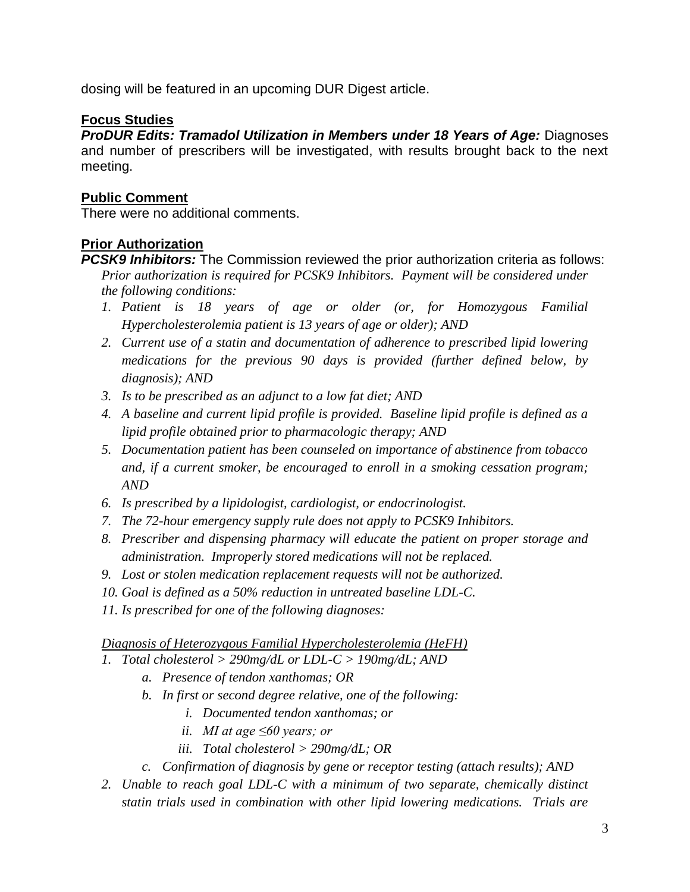dosing will be featured in an upcoming DUR Digest article.

# **Focus Studies**

*ProDUR Edits: Tramadol Utilization in Members under 18 Years of Age:* Diagnoses and number of prescribers will be investigated, with results brought back to the next meeting.

# **Public Comment**

There were no additional comments.

# **Prior Authorization**

- *PCSK9 Inhibitors:* The Commission reviewed the prior authorization criteria as follows: *Prior authorization is required for PCSK9 Inhibitors. Payment will be considered under the following conditions:*
	- *1. Patient is 18 years of age or older (or, for Homozygous Familial Hypercholesterolemia patient is 13 years of age or older); AND*
	- *2. Current use of a statin and documentation of adherence to prescribed lipid lowering medications for the previous 90 days is provided (further defined below, by diagnosis); AND*
	- *3. Is to be prescribed as an adjunct to a low fat diet; AND*
	- *4. A baseline and current lipid profile is provided. Baseline lipid profile is defined as a lipid profile obtained prior to pharmacologic therapy; AND*
	- *5. Documentation patient has been counseled on importance of abstinence from tobacco and, if a current smoker, be encouraged to enroll in a smoking cessation program; AND*
	- *6. Is prescribed by a lipidologist, cardiologist, or endocrinologist.*
	- *7. The 72-hour emergency supply rule does not apply to PCSK9 Inhibitors.*
	- *8. Prescriber and dispensing pharmacy will educate the patient on proper storage and administration. Improperly stored medications will not be replaced.*
	- *9. Lost or stolen medication replacement requests will not be authorized.*
	- *10. Goal is defined as a 50% reduction in untreated baseline LDL-C.*
	- *11. Is prescribed for one of the following diagnoses:*

*Diagnosis of Heterozygous Familial Hypercholesterolemia (HeFH)*

- *1. Total cholesterol > 290mg/dL or LDL-C > 190mg/dL; AND*
	- *a. Presence of tendon xanthomas; OR*
	- *b. In first or second degree relative, one of the following:*
		- *i. Documented tendon xanthomas; or*
		- *ii. MI at age ≤60 years; or*
		- *iii. Total cholesterol > 290mg/dL; OR*
	- *c. Confirmation of diagnosis by gene or receptor testing (attach results); AND*
- 2. *Unable to reach goal LDL-C with a minimum of two separate, chemically distinct statin trials used in combination with other lipid lowering medications. Trials are*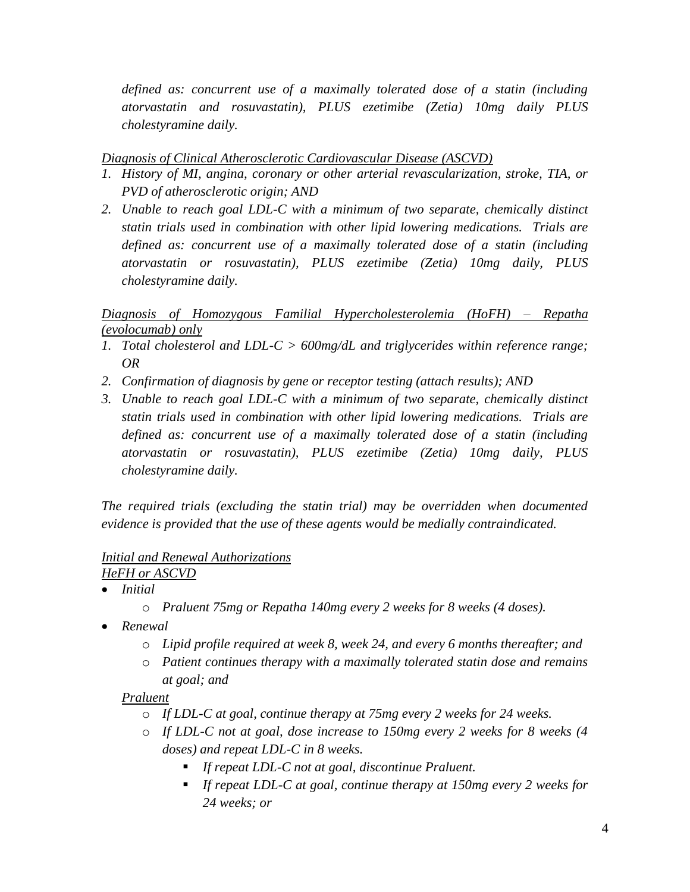*defined as: concurrent use of a maximally tolerated dose of a statin (including atorvastatin and rosuvastatin), PLUS ezetimibe (Zetia) 10mg daily PLUS cholestyramine daily.*

*Diagnosis of Clinical Atherosclerotic Cardiovascular Disease (ASCVD)*

- *1. History of MI, angina, coronary or other arterial revascularization, stroke, TIA, or PVD of atherosclerotic origin; AND*
- 2. *Unable to reach goal LDL-C with a minimum of two separate, chemically distinct statin trials used in combination with other lipid lowering medications. Trials are defined as: concurrent use of a maximally tolerated dose of a statin (including atorvastatin or rosuvastatin), PLUS ezetimibe (Zetia) 10mg daily, PLUS cholestyramine daily.*

*Diagnosis of Homozygous Familial Hypercholesterolemia (HoFH) – Repatha (evolocumab) only*

- *1. Total cholesterol and LDL-C > 600mg/dL and triglycerides within reference range; OR*
- *2. Confirmation of diagnosis by gene or receptor testing (attach results); AND*
- *3. Unable to reach goal LDL-C with a minimum of two separate, chemically distinct statin trials used in combination with other lipid lowering medications. Trials are defined as: concurrent use of a maximally tolerated dose of a statin (including atorvastatin or rosuvastatin), PLUS ezetimibe (Zetia) 10mg daily, PLUS cholestyramine daily.*

*The required trials (excluding the statin trial) may be overridden when documented evidence is provided that the use of these agents would be medially contraindicated.*

# *Initial and Renewal Authorizations*

*HeFH or ASCVD*

- *Initial* 
	- o *Praluent 75mg or Repatha 140mg every 2 weeks for 8 weeks (4 doses).*
- *Renewal* 
	- o *Lipid profile required at week 8, week 24, and every 6 months thereafter; and*
	- o *Patient continues therapy with a maximally tolerated statin dose and remains at goal; and*

# *Praluent*

- o *If LDL-C at goal, continue therapy at 75mg every 2 weeks for 24 weeks.*
- o *If LDL-C not at goal, dose increase to 150mg every 2 weeks for 8 weeks (4 doses) and repeat LDL-C in 8 weeks.*
	- *If repeat LDL-C not at goal, discontinue Praluent.*
	- *If repeat LDL-C at goal, continue therapy at 150mg every 2 weeks for 24 weeks; or*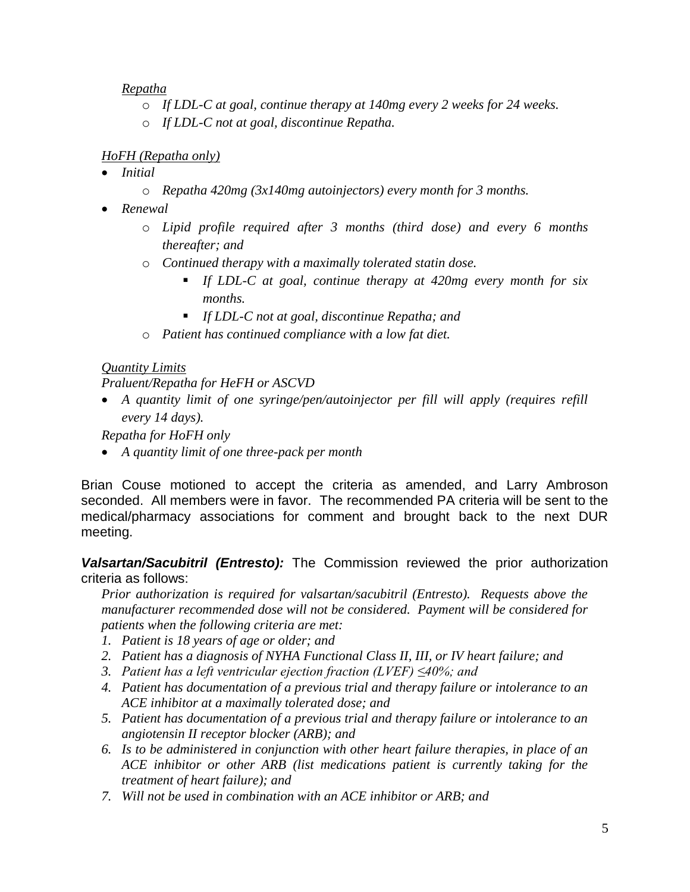### *Repatha*

- o *If LDL-C at goal, continue therapy at 140mg every 2 weeks for 24 weeks.*
- o *If LDL-C not at goal, discontinue Repatha.*

# *HoFH (Repatha only)*

- *Initial* 
	- o *Repatha 420mg (3x140mg autoinjectors) every month for 3 months.*
- *Renewal* 
	- o *Lipid profile required after 3 months (third dose) and every 6 months thereafter; and*
	- o *Continued therapy with a maximally tolerated statin dose.*
		- *If LDL-C at goal, continue therapy at 420mg every month for six months.*
		- *If LDL-C not at goal, discontinue Repatha; and*
	- o *Patient has continued compliance with a low fat diet.*

### *Quantity Limits*

*Praluent/Repatha for HeFH or ASCVD*

 *A quantity limit of one syringe/pen/autoinjector per fill will apply (requires refill every 14 days).*

*Repatha for HoFH only*

*A quantity limit of one three-pack per month*

Brian Couse motioned to accept the criteria as amended, and Larry Ambroson seconded. All members were in favor. The recommended PA criteria will be sent to the medical/pharmacy associations for comment and brought back to the next DUR meeting.

*Valsartan/Sacubitril (Entresto):* The Commission reviewed the prior authorization criteria as follows:

*Prior authorization is required for valsartan/sacubitril (Entresto). Requests above the manufacturer recommended dose will not be considered. Payment will be considered for patients when the following criteria are met:*

- *1. Patient is 18 years of age or older; and*
- *2. Patient has a diagnosis of NYHA Functional Class II, III, or IV heart failure; and*
- *3. Patient has a left ventricular ejection fraction (LVEF) ≤40%; and*
- *4. Patient has documentation of a previous trial and therapy failure or intolerance to an ACE inhibitor at a maximally tolerated dose; and*
- *5. Patient has documentation of a previous trial and therapy failure or intolerance to an angiotensin II receptor blocker (ARB); and*
- *6. Is to be administered in conjunction with other heart failure therapies, in place of an ACE inhibitor or other ARB (list medications patient is currently taking for the treatment of heart failure); and*
- *7. Will not be used in combination with an ACE inhibitor or ARB; and*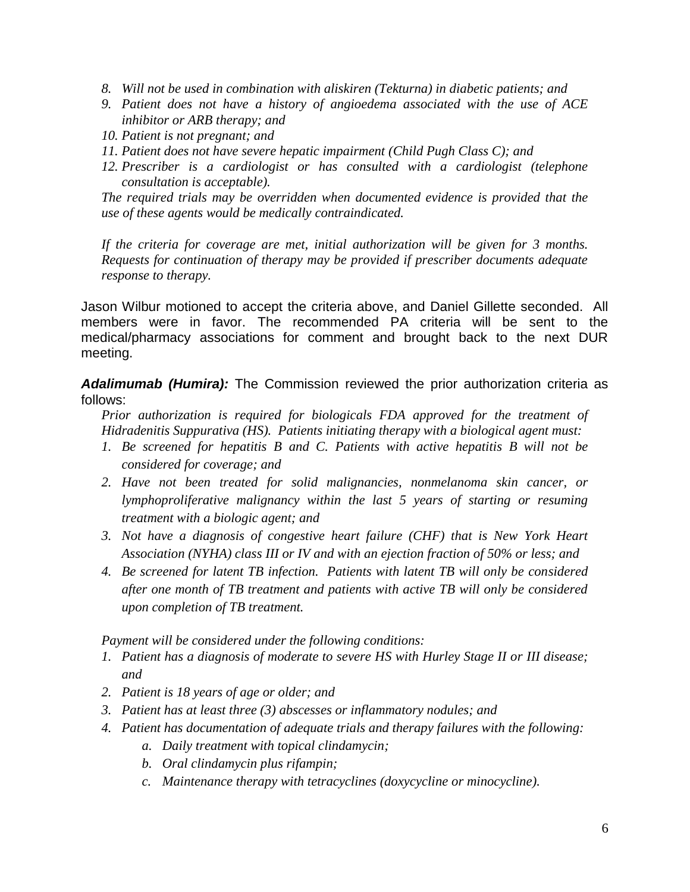- *8. Will not be used in combination with aliskiren (Tekturna) in diabetic patients; and*
- *9. Patient does not have a history of angioedema associated with the use of ACE inhibitor or ARB therapy; and*
- *10. Patient is not pregnant; and*
- *11. Patient does not have severe hepatic impairment (Child Pugh Class C); and*
- *12. Prescriber is a cardiologist or has consulted with a cardiologist (telephone consultation is acceptable).*

*The required trials may be overridden when documented evidence is provided that the use of these agents would be medically contraindicated.*

*If the criteria for coverage are met, initial authorization will be given for 3 months. Requests for continuation of therapy may be provided if prescriber documents adequate response to therapy.*

Jason Wilbur motioned to accept the criteria above, and Daniel Gillette seconded. All members were in favor. The recommended PA criteria will be sent to the medical/pharmacy associations for comment and brought back to the next DUR meeting.

*Adalimumab (Humira):* The Commission reviewed the prior authorization criteria as follows:

*Prior authorization is required for biologicals FDA approved for the treatment of Hidradenitis Suppurativa (HS). Patients initiating therapy with a biological agent must:*

- *1. Be screened for hepatitis B and C. Patients with active hepatitis B will not be considered for coverage; and*
- *2. Have not been treated for solid malignancies, nonmelanoma skin cancer, or lymphoproliferative malignancy within the last 5 years of starting or resuming treatment with a biologic agent; and*
- 3. Not have a diagnosis of congestive heart failure (CHF) that is New York Heart *Association (NYHA) class III or IV and with an ejection fraction of 50% or less; and*
- *4. Be screened for latent TB infection. Patients with latent TB will only be considered after one month of TB treatment and patients with active TB will only be considered upon completion of TB treatment.*

*Payment will be considered under the following conditions:*

- *1. Patient has a diagnosis of moderate to severe HS with Hurley Stage II or III disease; and*
- *2. Patient is 18 years of age or older; and*
- *3. Patient has at least three (3) abscesses or inflammatory nodules; and*
- *4. Patient has documentation of adequate trials and therapy failures with the following:*
	- *a. Daily treatment with topical clindamycin;*
	- *b. Oral clindamycin plus rifampin;*
	- *c. Maintenance therapy with tetracyclines (doxycycline or minocycline).*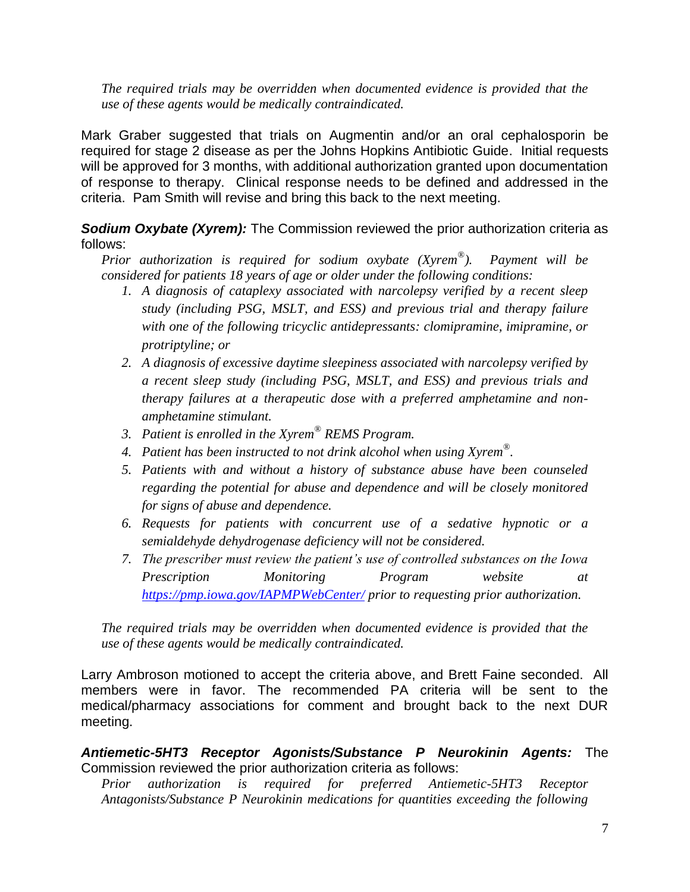*The required trials may be overridden when documented evidence is provided that the use of these agents would be medically contraindicated.*

Mark Graber suggested that trials on Augmentin and/or an oral cephalosporin be required for stage 2 disease as per the Johns Hopkins Antibiotic Guide. Initial requests will be approved for 3 months, with additional authorization granted upon documentation of response to therapy. Clinical response needs to be defined and addressed in the criteria. Pam Smith will revise and bring this back to the next meeting.

# **Sodium Oxybate (Xyrem):** The Commission reviewed the prior authorization criteria as follows:

*Prior authorization is required for sodium oxybate (Xyrem® ). Payment will be considered for patients 18 years of age or older under the following conditions:*

- *1. A diagnosis of cataplexy associated with narcolepsy verified by a recent sleep study (including PSG, MSLT, and ESS) and previous trial and therapy failure with one of the following tricyclic antidepressants: clomipramine, imipramine, or protriptyline; or*
- *2. A diagnosis of excessive daytime sleepiness associated with narcolepsy verified by a recent sleep study (including PSG, MSLT, and ESS) and previous trials and therapy failures at a therapeutic dose with a preferred amphetamine and nonamphetamine stimulant.*
- *3. Patient is enrolled in the Xyrem® REMS Program.*
- *4. Patient has been instructed to not drink alcohol when using Xyrem® .*
- *5. Patients with and without a history of substance abuse have been counseled regarding the potential for abuse and dependence and will be closely monitored for signs of abuse and dependence.*
- *6. Requests for patients with concurrent use of a sedative hypnotic or a semialdehyde dehydrogenase deficiency will not be considered.*
- *7. The prescriber must review the patient's use of controlled substances on the Iowa Prescription Monitoring Program website at <https://pmp.iowa.gov/IAPMPWebCenter/> prior to requesting prior authorization.*

*The required trials may be overridden when documented evidence is provided that the use of these agents would be medically contraindicated.* 

Larry Ambroson motioned to accept the criteria above, and Brett Faine seconded. All members were in favor. The recommended PA criteria will be sent to the medical/pharmacy associations for comment and brought back to the next DUR meeting.

*Antiemetic-5HT3 Receptor Agonists/Substance P Neurokinin Agents:* The Commission reviewed the prior authorization criteria as follows:

*Prior authorization is required for preferred Antiemetic-5HT3 Receptor Antagonists/Substance P Neurokinin medications for quantities exceeding the following*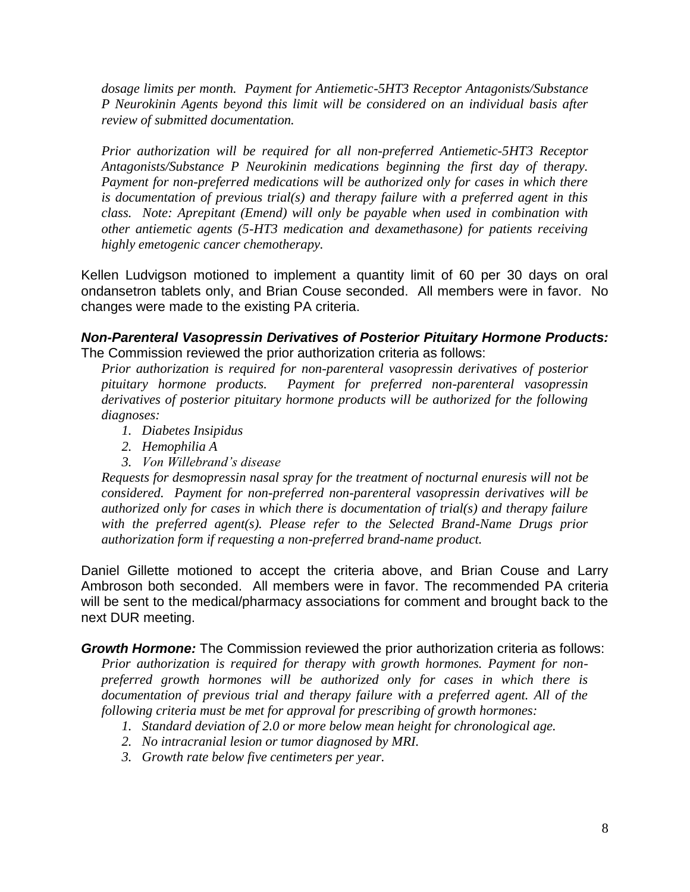*dosage limits per month. Payment for Antiemetic-5HT3 Receptor Antagonists/Substance P Neurokinin Agents beyond this limit will be considered on an individual basis after review of submitted documentation.*

*Prior authorization will be required for all non-preferred Antiemetic-5HT3 Receptor Antagonists/Substance P Neurokinin medications beginning the first day of therapy. Payment for non-preferred medications will be authorized only for cases in which there is documentation of previous trial(s) and therapy failure with a preferred agent in this class. Note: Aprepitant (Emend) will only be payable when used in combination with other antiemetic agents (5-HT3 medication and dexamethasone) for patients receiving highly emetogenic cancer chemotherapy.*

Kellen Ludvigson motioned to implement a quantity limit of 60 per 30 days on oral ondansetron tablets only, and Brian Couse seconded. All members were in favor. No changes were made to the existing PA criteria.

### *Non-Parenteral Vasopressin Derivatives of Posterior Pituitary Hormone Products:* The Commission reviewed the prior authorization criteria as follows:

*Prior authorization is required for non-parenteral vasopressin derivatives of posterior pituitary hormone products. Payment for preferred non-parenteral vasopressin derivatives of posterior pituitary hormone products will be authorized for the following diagnoses:*

- *1. Diabetes Insipidus*
- *2. Hemophilia A*
- *3. Von Willebrand's disease*

*Requests for desmopressin nasal spray for the treatment of nocturnal enuresis will not be considered. Payment for non-preferred non-parenteral vasopressin derivatives will be authorized only for cases in which there is documentation of trial(s) and therapy failure*  with the preferred agent(s). Please refer to the Selected Brand-Name Drugs prior *authorization form if requesting a non-preferred brand-name product.*

Daniel Gillette motioned to accept the criteria above, and Brian Couse and Larry Ambroson both seconded. All members were in favor. The recommended PA criteria will be sent to the medical/pharmacy associations for comment and brought back to the next DUR meeting.

*Growth Hormone:* The Commission reviewed the prior authorization criteria as follows: *Prior authorization is required for therapy with growth hormones. Payment for nonpreferred growth hormones will be authorized only for cases in which there is documentation of previous trial and therapy failure with a preferred agent. All of the following criteria must be met for approval for prescribing of growth hormones:* 

- *1. Standard deviation of 2.0 or more below mean height for chronological age.*
- *2. No intracranial lesion or tumor diagnosed by MRI.*
- *3. Growth rate below five centimeters per year.*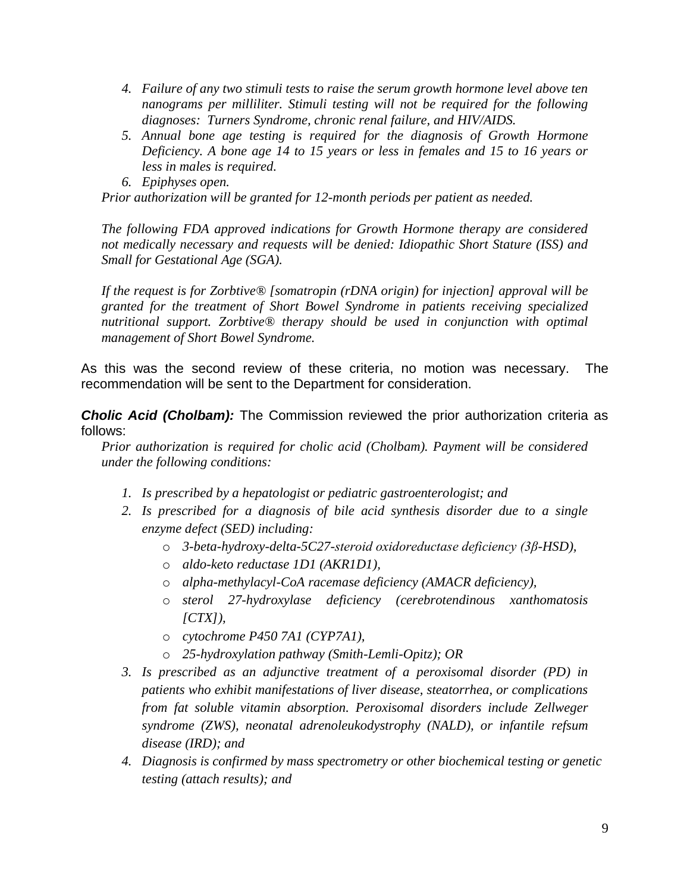- *4. Failure of any two stimuli tests to raise the serum growth hormone level above ten nanograms per milliliter. Stimuli testing will not be required for the following diagnoses: Turners Syndrome, chronic renal failure, and HIV/AIDS.*
- *5. Annual bone age testing is required for the diagnosis of Growth Hormone Deficiency. A bone age 14 to 15 years or less in females and 15 to 16 years or less in males is required.*
- *6. Epiphyses open.*

*Prior authorization will be granted for 12-month periods per patient as needed.* 

*The following FDA approved indications for Growth Hormone therapy are considered not medically necessary and requests will be denied: Idiopathic Short Stature (ISS) and Small for Gestational Age (SGA).* 

*If the request is for Zorbtive® [somatropin (rDNA origin) for injection] approval will be granted for the treatment of Short Bowel Syndrome in patients receiving specialized nutritional support. Zorbtive® therapy should be used in conjunction with optimal management of Short Bowel Syndrome.*

As this was the second review of these criteria, no motion was necessary. The recommendation will be sent to the Department for consideration.

*Cholic Acid (Cholbam):* The Commission reviewed the prior authorization criteria as follows:

*Prior authorization is required for cholic acid (Cholbam). Payment will be considered under the following conditions:*

- *1. Is prescribed by a hepatologist or pediatric gastroenterologist; and*
- *2. Is prescribed for a diagnosis of bile acid synthesis disorder due to a single enzyme defect (SED) including:*
	- o *3-beta-hydroxy-delta-5C27-steroid oxidoreductase deficiency (3β-HSD),*
	- o *aldo-keto reductase 1D1 (AKR1D1),*
	- o *alpha-methylacyl-CoA racemase deficiency (AMACR deficiency),*
	- o *sterol 27-hydroxylase deficiency (cerebrotendinous xanthomatosis [CTX]),*
	- o *cytochrome P450 7A1 (CYP7A1),*
	- o *25-hydroxylation pathway (Smith-Lemli-Opitz); OR*
- *3. Is prescribed as an adjunctive treatment of a peroxisomal disorder (PD) in patients who exhibit manifestations of liver disease, steatorrhea, or complications from fat soluble vitamin absorption. Peroxisomal disorders include Zellweger syndrome (ZWS), neonatal adrenoleukodystrophy (NALD), or infantile refsum disease (IRD); and*
- *4. Diagnosis is confirmed by mass spectrometry or other biochemical testing or genetic testing (attach results); and*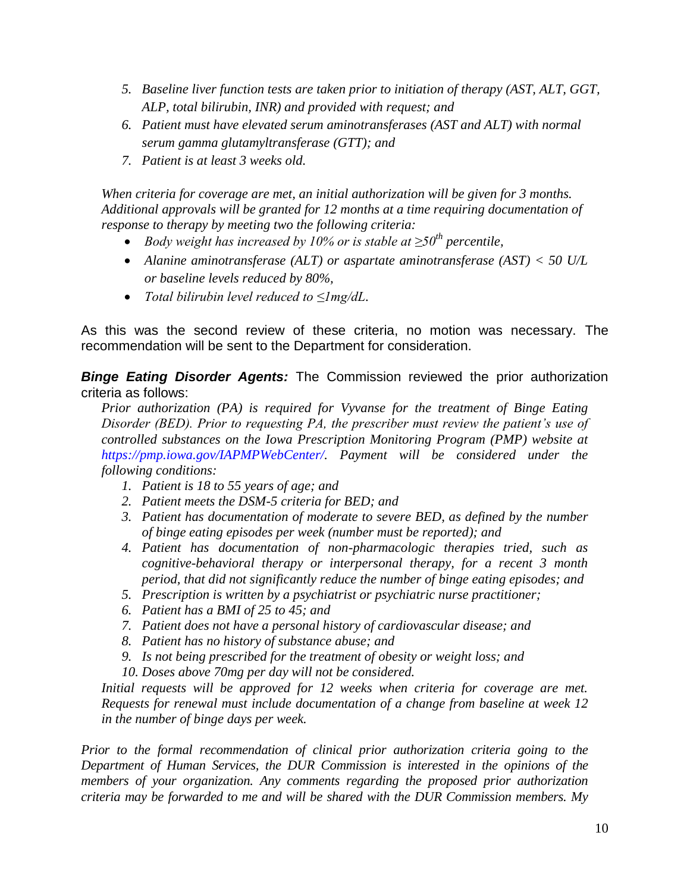- *5. Baseline liver function tests are taken prior to initiation of therapy (AST, ALT, GGT, ALP, total bilirubin, INR) and provided with request; and*
- *6. Patient must have elevated serum aminotransferases (AST and ALT) with normal serum gamma glutamyltransferase (GTT); and*
- *7. Patient is at least 3 weeks old.*

*When criteria for coverage are met, an initial authorization will be given for 3 months. Additional approvals will be granted for 12 months at a time requiring documentation of response to therapy by meeting two the following criteria:* 

- *Body weight has increased by 10% or is stable at ≥50th percentile,*
- *Alanine aminotransferase (ALT) or aspartate aminotransferase (AST) < 50 U/L or baseline levels reduced by 80%,*
- *Total bilirubin level reduced to ≤1mg/dL.*

As this was the second review of these criteria, no motion was necessary. The recommendation will be sent to the Department for consideration.

*Binge Eating Disorder Agents:* The Commission reviewed the prior authorization criteria as follows:

*Prior authorization (PA) is required for Vyvanse for the treatment of Binge Eating Disorder (BED). Prior to requesting PA, the prescriber must review the patient's use of controlled substances on the Iowa Prescription Monitoring Program (PMP) website at https://pmp.iowa.gov/IAPMPWebCenter/. Payment will be considered under the following conditions:* 

- *1. Patient is 18 to 55 years of age; and*
- *2. Patient meets the DSM-5 criteria for BED; and*
- *3. Patient has documentation of moderate to severe BED, as defined by the number of binge eating episodes per week (number must be reported); and*
- *4. Patient has documentation of non-pharmacologic therapies tried, such as cognitive-behavioral therapy or interpersonal therapy, for a recent 3 month period, that did not significantly reduce the number of binge eating episodes; and*
- *5. Prescription is written by a psychiatrist or psychiatric nurse practitioner;*
- *6. Patient has a BMI of 25 to 45; and*
- *7. Patient does not have a personal history of cardiovascular disease; and*
- *8. Patient has no history of substance abuse; and*
- *9. Is not being prescribed for the treatment of obesity or weight loss; and*
- *10. Doses above 70mg per day will not be considered.*

Initial requests will be approved for 12 weeks when criteria for coverage are met. *Requests for renewal must include documentation of a change from baseline at week 12 in the number of binge days per week.*

*Prior to the formal recommendation of clinical prior authorization criteria going to the Department of Human Services, the DUR Commission is interested in the opinions of the members of your organization. Any comments regarding the proposed prior authorization criteria may be forwarded to me and will be shared with the DUR Commission members. My*